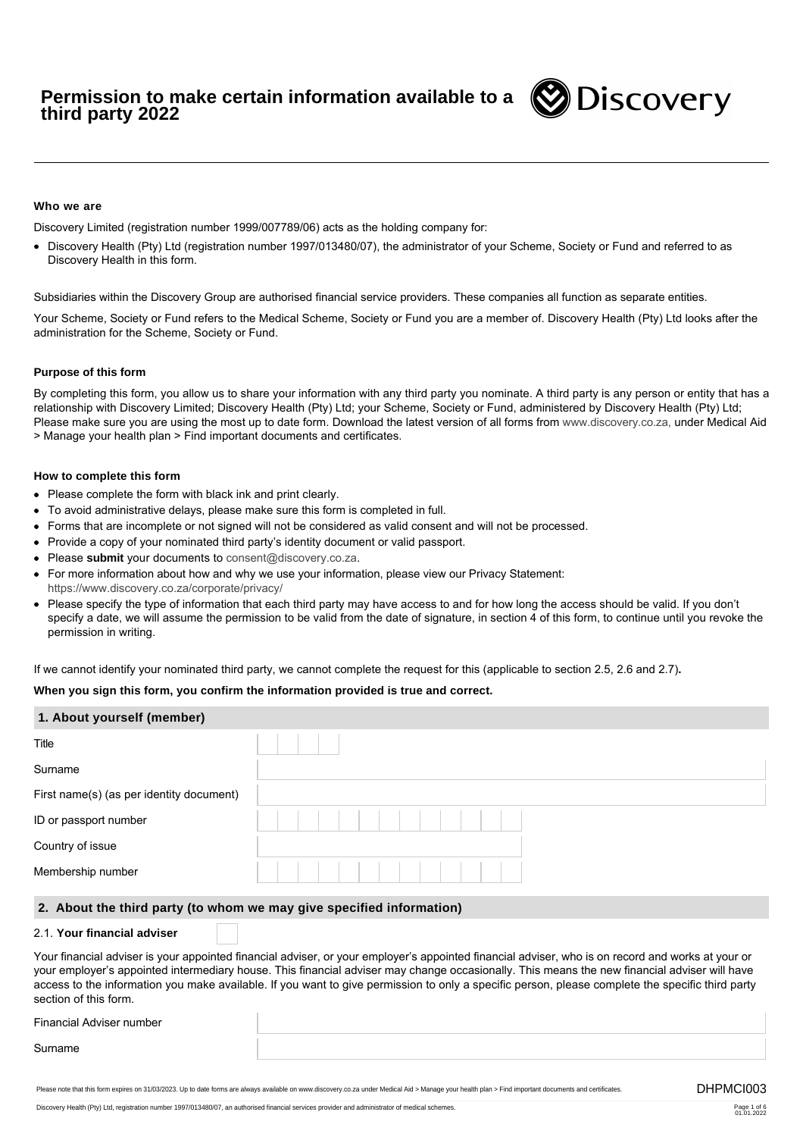

#### **Who we are**

Discovery Limited (registration number 1999/007789/06) acts as the holding company for:

Discovery Health (Pty) Ltd (registration number 1997/013480/07), the administrator of your Scheme, Society or Fund and referred to as Discovery Health in this form.

Subsidiaries within the Discovery Group are authorised financial service providers. These companies all function as separate entities.

Your Scheme, Society or Fund refers to the Medical Scheme, Society or Fund you are a member of. Discovery Health (Pty) Ltd looks after the administration for the Scheme, Society or Fund.

#### **Purpose of this form**

By completing this form, you allow us to share your information with any third party you nominate. A third party is any person or entity that has a relationship with Discovery Limited; Discovery Health (Pty) Ltd; your Scheme, Society or Fund, administered by Discovery Health (Pty) Ltd; Please make sure you are using the most up to date form. Download the latest version of all forms from www.discovery.co.za, under Medical Aid > Manage your health plan > Find important documents and certificates.

#### **How to complete this form**

- Please complete the form with black ink and print clearly.
- To avoid administrative delays, please make sure this form is completed in full.
- Forms that are incomplete or not signed will not be considered as valid consent and will not be processed.
- Provide a copy of your nominated third party's identity document or valid passport.
- Please **submit** your documents to [consent@discovery.co.za](mailto:consent@discovery.co.za).
- For more information about how and why we use your information, please view our Privacy Statement: <https://www.discovery.co.za/corporate/privacy/>
- Please specify the type of information that each third party may have access to and for how long the access should be valid. If you don't specify a date, we will assume the permission to be valid from the date of signature, in section 4 of this form, to continue until you revoke the permission in writing.

If we cannot identify your nominated third party, we cannot complete the request for this (applicable to section 2.5, 2.6 and 2.7)**.**

#### **When you sign this form, you confirm the information provided is true and correct.**

| 1. About yourself (member)               |  |          |  |  |  |  |
|------------------------------------------|--|----------|--|--|--|--|
| Title                                    |  |          |  |  |  |  |
| Surname                                  |  |          |  |  |  |  |
| First name(s) (as per identity document) |  |          |  |  |  |  |
| ID or passport number                    |  | in.<br>S |  |  |  |  |
| Country of issue                         |  |          |  |  |  |  |
| Membership number                        |  |          |  |  |  |  |

#### **2. About the third party (to whom we may give specified information)**

#### 2.1. **Your financial adviser**

Your financial adviser is your appointed financial adviser, or your employer's appointed financial adviser, who is on record and works at your or your employer's appointed intermediary house. This financial adviser may change occasionally. This means the new financial adviser will have access to the information you make available. If you want to give permission to only a specific person, please complete the specific third party section of this form.

# Financial Adviser number

Surname

Please note that this form expires on 31/03/2023. Up to date forms are always available on www.discovery.co.za under Medical Aid > Manage your health plan > Find important documents and certificates. DHPMCI003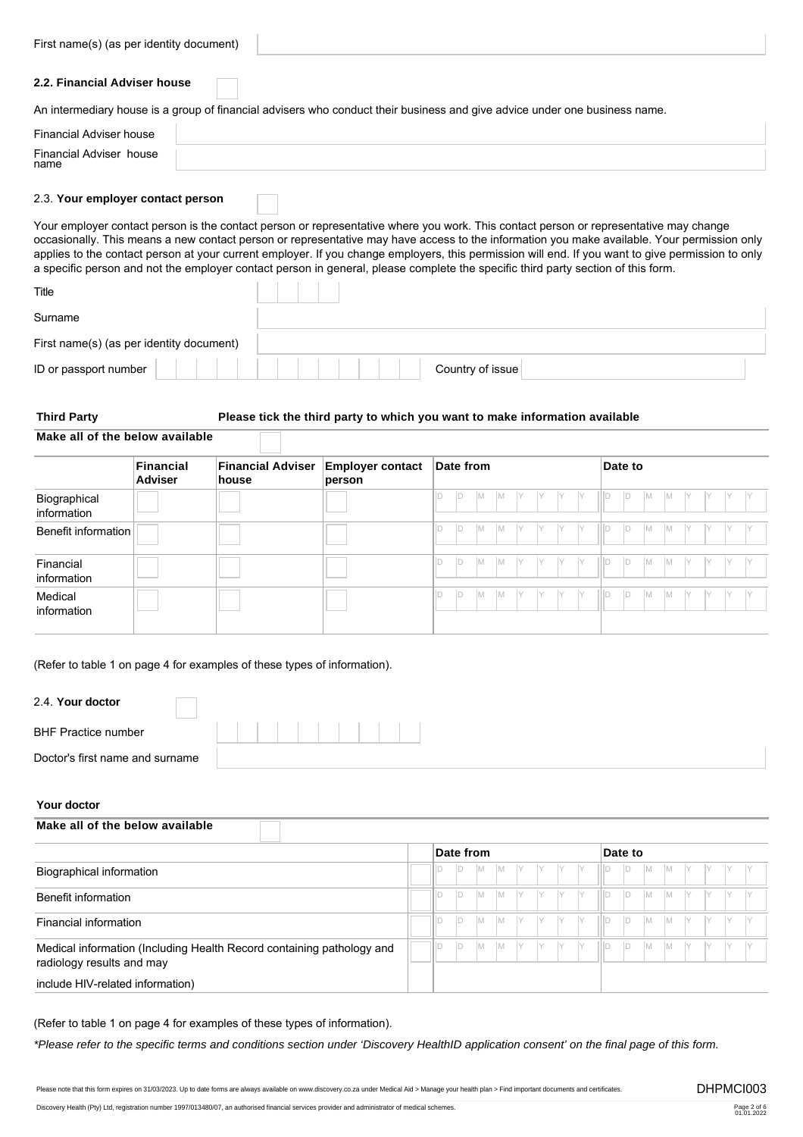| First name(s) (as per identity document)                                                                                                                                                                                                                                                                                                                                                                                                                                                                                                                                      |
|-------------------------------------------------------------------------------------------------------------------------------------------------------------------------------------------------------------------------------------------------------------------------------------------------------------------------------------------------------------------------------------------------------------------------------------------------------------------------------------------------------------------------------------------------------------------------------|
| 2.2. Financial Adviser house                                                                                                                                                                                                                                                                                                                                                                                                                                                                                                                                                  |
| An intermediary house is a group of financial advisers who conduct their business and give advice under one business name.                                                                                                                                                                                                                                                                                                                                                                                                                                                    |
| Financial Adviser house                                                                                                                                                                                                                                                                                                                                                                                                                                                                                                                                                       |
| Financial Adviser house<br>name                                                                                                                                                                                                                                                                                                                                                                                                                                                                                                                                               |
| 2.3. Your employer contact person                                                                                                                                                                                                                                                                                                                                                                                                                                                                                                                                             |
| Your employer contact person is the contact person or representative where you work. This contact person or representative may change<br>occasionally. This means a new contact person or representative may have access to the information you make available. Your permission only<br>applies to the contact person at your current employer. If you change employers, this permission will end. If you want to give permission to only<br>a specific person and not the employer contact person in general, please complete the specific third party section of this form. |
| Title                                                                                                                                                                                                                                                                                                                                                                                                                                                                                                                                                                         |

| .                                        |                  |
|------------------------------------------|------------------|
| Surname                                  |                  |
| First name(s) (as per identity document) |                  |
| ID or passport number                    | Country of issue |

## **Third Party Please tick the third party to which you want to make information available**

|                             | Make all of the below available    |                                   |                                   |                                         |                      |  |  |  |  |  |  |  |  |  |
|-----------------------------|------------------------------------|-----------------------------------|-----------------------------------|-----------------------------------------|----------------------|--|--|--|--|--|--|--|--|--|
|                             | <b>Financial</b><br><b>Adviser</b> | <b>Financial Adviser</b><br>house | <b>Employer contact</b><br>person | Date from                               | Date to              |  |  |  |  |  |  |  |  |  |
| Biographical<br>information |                                    |                                   |                                   | ID<br>İΜ<br>IY<br>IM.<br>IY.<br>IY      | ID<br>l M<br>IM.     |  |  |  |  |  |  |  |  |  |
| Benefit information         |                                    |                                   |                                   | ID<br>M<br>IY<br>IY<br>IM.<br>IY        | D <br>ID<br>M<br>M   |  |  |  |  |  |  |  |  |  |
| Financial<br>information    |                                    |                                   |                                   | ID<br>M<br>IY<br>IY.<br>IM.<br>IY       | D <br>ID<br>M<br>M   |  |  |  |  |  |  |  |  |  |
| Medical<br>information      |                                    |                                   |                                   | ID<br>M<br>IM.<br>IY<br>IY.<br>IY<br>IY | D <br>ID<br>l M<br>M |  |  |  |  |  |  |  |  |  |

(Refer to table 1 on page 4 for examples of these types of information).

| 2.4. Your doctor                |  |  |  |  |  |  |
|---------------------------------|--|--|--|--|--|--|
| <b>BHF Practice number</b>      |  |  |  |  |  |  |
| Doctor's first name and surname |  |  |  |  |  |  |

## **Your doctor**

| Make all of the below available                                                                    |  |           |    |    |   |  |         |     |     |    |    |  |
|----------------------------------------------------------------------------------------------------|--|-----------|----|----|---|--|---------|-----|-----|----|----|--|
|                                                                                                    |  | Date from |    |    |   |  | Date to |     |     |    |    |  |
| Biographical information                                                                           |  | ΙM        | ΙM | Iv | V |  | ID      | ΙM  | IM. | IV | IY |  |
| Benefit information                                                                                |  | M         | M  |    |   |  | ID      | M   | ΙM  |    | IY |  |
| Financial information                                                                              |  | M         | IΜ |    |   |  | ID      | M   | M   |    |    |  |
| Medical information (Including Health Record containing pathology and<br>radiology results and may |  | M         | IМ |    | Y |  | ID      | IM. | IМ  |    |    |  |
| include HIV-related information)                                                                   |  |           |    |    |   |  |         |     |     |    |    |  |

(Refer to table 1 on page 4 for examples of these types of information).

*\*Please refer to the specific terms and conditions section under 'Discovery HealthID application consent' on the final page of this form.*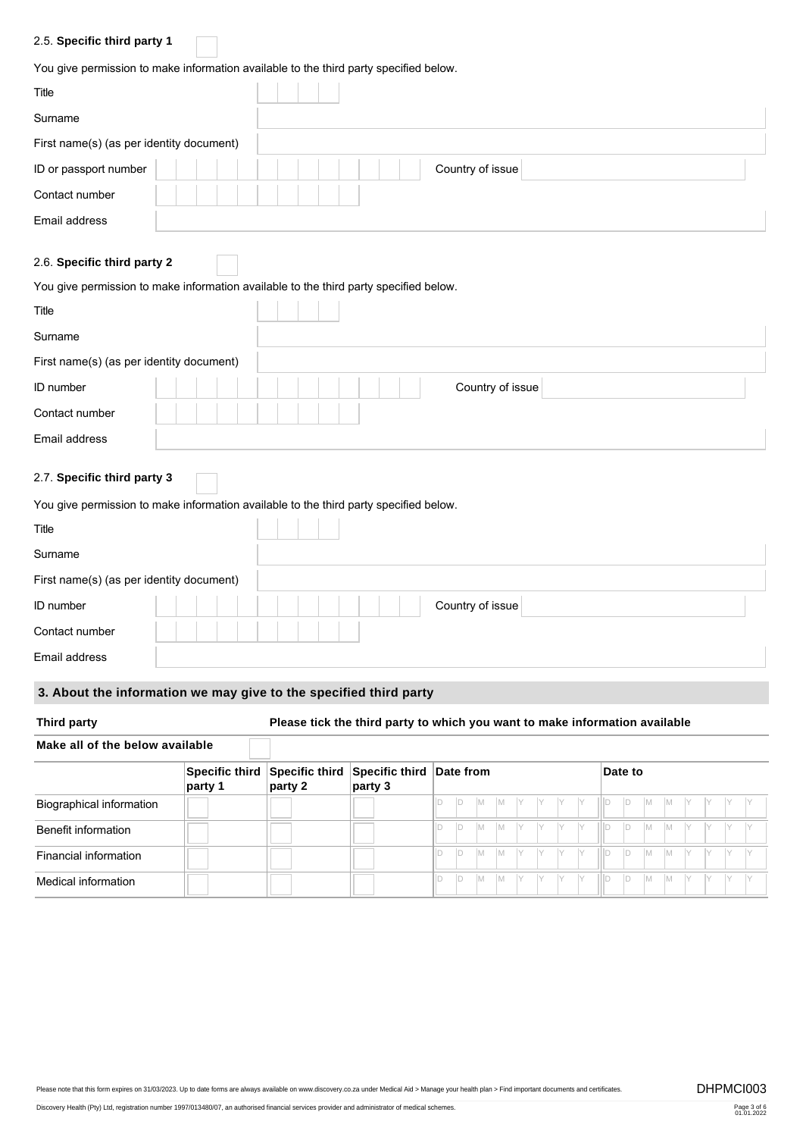## 2.5. **Specific third party 1**

Contact number Email address

| You give permission to make information available to the third party specified below. |                                                                    |
|---------------------------------------------------------------------------------------|--------------------------------------------------------------------|
| Title                                                                                 |                                                                    |
| Surname                                                                               |                                                                    |
| First name(s) (as per identity document)                                              |                                                                    |
|                                                                                       | ID or passport number                             Country of issue |

# 2.6. **Specific third party 2** You give permission to make information available to the third party specified below.

| Title                                    |  |                  |  |
|------------------------------------------|--|------------------|--|
| Surname                                  |  |                  |  |
| First name(s) (as per identity document) |  |                  |  |
| ID number                                |  | Country of issue |  |
| Contact number                           |  |                  |  |
| Email address                            |  |                  |  |

## 2.7. **Specific third party 3**

You give permission to make information available to the third party specified below.

| Title                                    |                  |
|------------------------------------------|------------------|
| Surname                                  |                  |
| First name(s) (as per identity document) |                  |
| ID number                                | Country of issue |
| Contact number                           |                  |
| Email address                            |                  |

## **3. About the information we may give to the specified third party**

| Third party                     |                           | Please tick the third party to which you want to make information available |           |  |    |   |    |  |   |     |         |  |    |    |     |     |  |  |  |
|---------------------------------|---------------------------|-----------------------------------------------------------------------------|-----------|--|----|---|----|--|---|-----|---------|--|----|----|-----|-----|--|--|--|
| Make all of the below available |                           |                                                                             |           |  |    |   |    |  |   |     |         |  |    |    |     |     |  |  |  |
|                                 | Specific third<br>party 2 | <b>Specific third</b><br>party 3                                            | Date from |  |    |   |    |  |   |     | Date to |  |    |    |     |     |  |  |  |
| Biographical information        |                           |                                                                             |           |  | ID | M | Iм |  |   | IY  |         |  | ID | M  | IM. | IY  |  |  |  |
| Benefit information             |                           |                                                                             |           |  | ID | M | M  |  |   | IY. | IY      |  |    | M  | IM. | IY. |  |  |  |
| Financial information           |                           |                                                                             |           |  | ID | M | M  |  | Y | Y   | IY      |  | ID | IМ | IM. | IY  |  |  |  |
| Medical information             |                           |                                                                             |           |  | ID | M | M  |  |   | Y   |         |  |    | M  | ΙM  | IY  |  |  |  |

Page 3 of 6<br>01.01.2022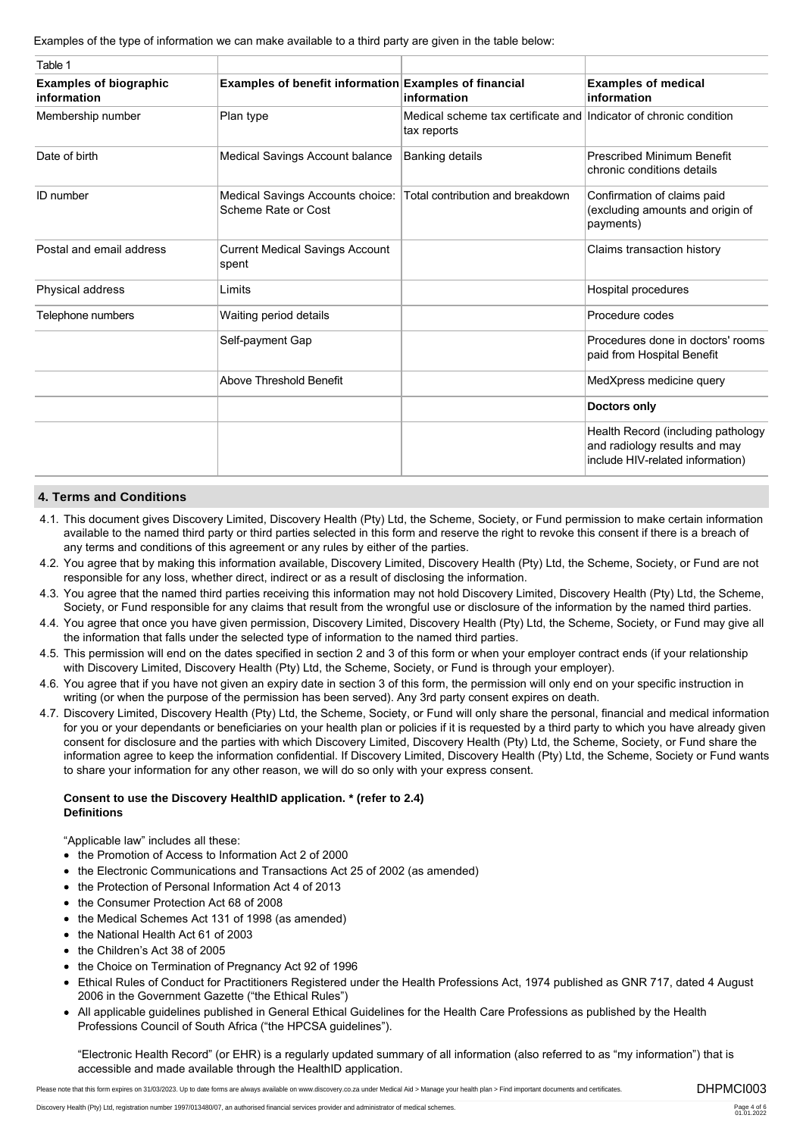Examples of the type of information we can make available to a third party are given in the table below:

| Table 1                                      |                                                         |                                                                                  |                                                                                                         |
|----------------------------------------------|---------------------------------------------------------|----------------------------------------------------------------------------------|---------------------------------------------------------------------------------------------------------|
| <b>Examples of biographic</b><br>information | Examples of benefit information Examples of financial   | information                                                                      | <b>Examples of medical</b><br>information                                                               |
| Membership number                            | Plan type                                               | Medical scheme tax certificate and Indicator of chronic condition<br>tax reports |                                                                                                         |
| Date of birth                                | Medical Savings Account balance                         | <b>Banking details</b>                                                           | <b>Prescribed Minimum Benefit</b><br>chronic conditions details                                         |
| ID number                                    | Medical Savings Accounts choice:<br>Scheme Rate or Cost | Total contribution and breakdown                                                 | Confirmation of claims paid<br>(excluding amounts and origin of<br>payments)                            |
| Postal and email address                     | <b>Current Medical Savings Account</b><br>spent         |                                                                                  | Claims transaction history                                                                              |
| Physical address                             | Limits                                                  |                                                                                  | Hospital procedures                                                                                     |
| Telephone numbers                            | Waiting period details                                  |                                                                                  | Procedure codes                                                                                         |
|                                              | Self-payment Gap                                        |                                                                                  | Procedures done in doctors' rooms<br>paid from Hospital Benefit                                         |
|                                              | Above Threshold Benefit                                 |                                                                                  | MedXpress medicine query                                                                                |
|                                              |                                                         |                                                                                  | Doctors only                                                                                            |
|                                              |                                                         |                                                                                  | Health Record (including pathology<br>and radiology results and may<br>include HIV-related information) |

### **4. Terms and Conditions**

- 4.1. This document gives Discovery Limited, Discovery Health (Pty) Ltd, the Scheme, Society, or Fund permission to make certain information available to the named third party or third parties selected in this form and reserve the right to revoke this consent if there is a breach of any terms and conditions of this agreement or any rules by either of the parties.
- 4.2. You agree that by making this information available, Discovery Limited, Discovery Health (Pty) Ltd, the Scheme, Society, or Fund are not responsible for any loss, whether direct, indirect or as a result of disclosing the information.
- 4.3. You agree that the named third parties receiving this information may not hold Discovery Limited, Discovery Health (Pty) Ltd, the Scheme, Society, or Fund responsible for any claims that result from the wrongful use or disclosure of the information by the named third parties.
- 4.4. You agree that once you have given permission, Discovery Limited, Discovery Health (Pty) Ltd, the Scheme, Society, or Fund may give all the information that falls under the selected type of information to the named third parties.
- 4.5. This permission will end on the dates specified in section 2 and 3 of this form or when your employer contract ends (if your relationship with Discovery Limited, Discovery Health (Pty) Ltd, the Scheme, Society, or Fund is through your employer).
- 4.6. You agree that if you have not given an expiry date in section 3 of this form, the permission will only end on your specific instruction in writing (or when the purpose of the permission has been served). Any 3rd party consent expires on death.
- 4.7. Discovery Limited, Discovery Health (Pty) Ltd, the Scheme, Society, or Fund will only share the personal, financial and medical information for you or your dependants or beneficiaries on your health plan or policies if it is requested by a third party to which you have already given consent for disclosure and the parties with which Discovery Limited, Discovery Health (Pty) Ltd, the Scheme, Society, or Fund share the information agree to keep the information confidential. If Discovery Limited, Discovery Health (Pty) Ltd, the Scheme, Society or Fund wants to share your information for any other reason, we will do so only with your express consent.

#### **Consent to use the Discovery HealthID application. \* (refer to 2.4) Definitions**

"Applicable law" includes all these:

- the Promotion of Access to Information Act 2 of 2000
- the Electronic Communications and Transactions Act 25 of 2002 (as amended)
- the Protection of Personal Information Act 4 of 2013
- the Consumer Protection Act 68 of 2008  $\bullet$
- the Medical Schemes Act 131 of 1998 (as amended)
- the National Health Act 61 of 2003
- the Children's Act 38 of 2005
- the Choice on Termination of Pregnancy Act 92 of 1996
- Ethical Rules of Conduct for Practitioners Registered under the Health Professions Act, 1974 published as GNR 717, dated 4 August 2006 in the Government Gazette ("the Ethical Rules")
- All applicable guidelines published in General Ethical Guidelines for the Health Care Professions as published by the Health Professions Council of South Africa ("the HPCSA guidelines").

"Electronic Health Record" (or EHR) is a regularly updated summary of all information (also referred to as "my information") that is accessible and made available through the HealthID application.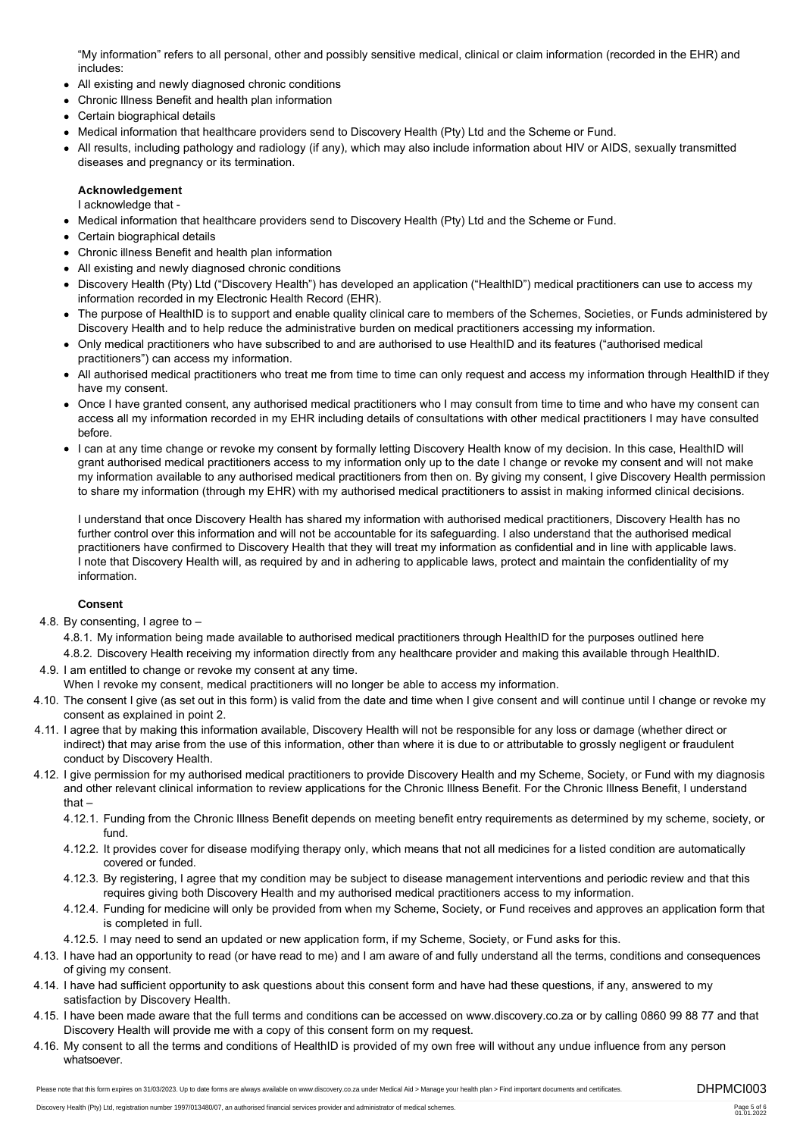"My information" refers to all personal, other and possibly sensitive medical, clinical or claim information (recorded in the EHR) and includes:

- All existing and newly diagnosed chronic conditions  $\bullet$
- Chronic Illness Benefit and health plan information  $\bullet$
- Certain biographical details  $\bullet$
- Medical information that healthcare providers send to Discovery Health (Pty) Ltd and the Scheme or Fund.  $\bullet$
- All results, including pathology and radiology (if any), which may also include information about HIV or AIDS, sexually transmitted diseases and pregnancy or its termination.

## **Acknowledgement**

## I acknowledge that -

- Medical information that healthcare providers send to Discovery Health (Pty) Ltd and the Scheme or Fund.
- Certain biographical details  $\bullet$
- Chronic illness Benefit and health plan information
- All existing and newly diagnosed chronic conditions
- Discovery Health (Pty) Ltd ("Discovery Health") has developed an application ("HealthID") medical practitioners can use to access my  $\bullet$ information recorded in my Electronic Health Record (EHR).
- The purpose of HealthID is to support and enable quality clinical care to members of the Schemes, Societies, or Funds administered by Discovery Health and to help reduce the administrative burden on medical practitioners accessing my information.
- Only medical practitioners who have subscribed to and are authorised to use HealthID and its features ("authorised medical practitioners") can access my information.
- All authorised medical practitioners who treat me from time to time can only request and access my information through HealthID if they have my consent.
- Once I have granted consent, any authorised medical practitioners who I may consult from time to time and who have my consent can access all my information recorded in my EHR including details of consultations with other medical practitioners I may have consulted before.
- I can at any time change or revoke my consent by formally letting Discovery Health know of my decision. In this case, HealthID will grant authorised medical practitioners access to my information only up to the date I change or revoke my consent and will not make my information available to any authorised medical practitioners from then on. By giving my consent, I give Discovery Health permission to share my information (through my EHR) with my authorised medical practitioners to assist in making informed clinical decisions.

I understand that once Discovery Health has shared my information with authorised medical practitioners, Discovery Health has no further control over this information and will not be accountable for its safeguarding. I also understand that the authorised medical practitioners have confirmed to Discovery Health that they will treat my information as confidential and in line with applicable laws. I note that Discovery Health will, as required by and in adhering to applicable laws, protect and maintain the confidentiality of my information.

#### **Consent**

4.8. By consenting, I agree to –

4.8.1. My information being made available to authorised medical practitioners through HealthID for the purposes outlined here

- 4.8.2. Discovery Health receiving my information directly from any healthcare provider and making this available through HealthID.
- 4.9. I am entitled to change or revoke my consent at any time.
- When I revoke my consent, medical practitioners will no longer be able to access my information.
- 4.10. The consent I give (as set out in this form) is valid from the date and time when I give consent and will continue until I change or revoke my consent as explained in point 2.
- 4.11. I agree that by making this information available, Discovery Health will not be responsible for any loss or damage (whether direct or indirect) that may arise from the use of this information, other than where it is due to or attributable to grossly negligent or fraudulent conduct by Discovery Health.
- 4.12. I give permission for my authorised medical practitioners to provide Discovery Health and my Scheme, Society, or Fund with my diagnosis and other relevant clinical information to review applications for the Chronic Illness Benefit. For the Chronic Illness Benefit, I understand that –
	- 4.12.1. Funding from the Chronic Illness Benefit depends on meeting benefit entry requirements as determined by my scheme, society, or fund.
	- 4.12.2. It provides cover for disease modifying therapy only, which means that not all medicines for a listed condition are automatically covered or funded.
	- 4.12.3. By registering, I agree that my condition may be subject to disease management interventions and periodic review and that this requires giving both Discovery Health and my authorised medical practitioners access to my information.
	- 4.12.4. Funding for medicine will only be provided from when my Scheme, Society, or Fund receives and approves an application form that is completed in full.
	- 4.12.5. I may need to send an updated or new application form, if my Scheme, Society, or Fund asks for this.
- 4.13. I have had an opportunity to read (or have read to me) and I am aware of and fully understand all the terms, conditions and consequences of giving my consent.
- 4.14. I have had sufficient opportunity to ask questions about this consent form and have had these questions, if any, answered to my satisfaction by Discovery Health.
- 4.15. I have been made aware that the full terms and conditions can be accessed on www.discovery.co.za or by calling 0860 99 88 77 and that Discovery Health will provide me with a copy of this consent form on my request.
- 4.16. My consent to all the terms and conditions of HealthID is provided of my own free will without any undue influence from any person whatsoever.